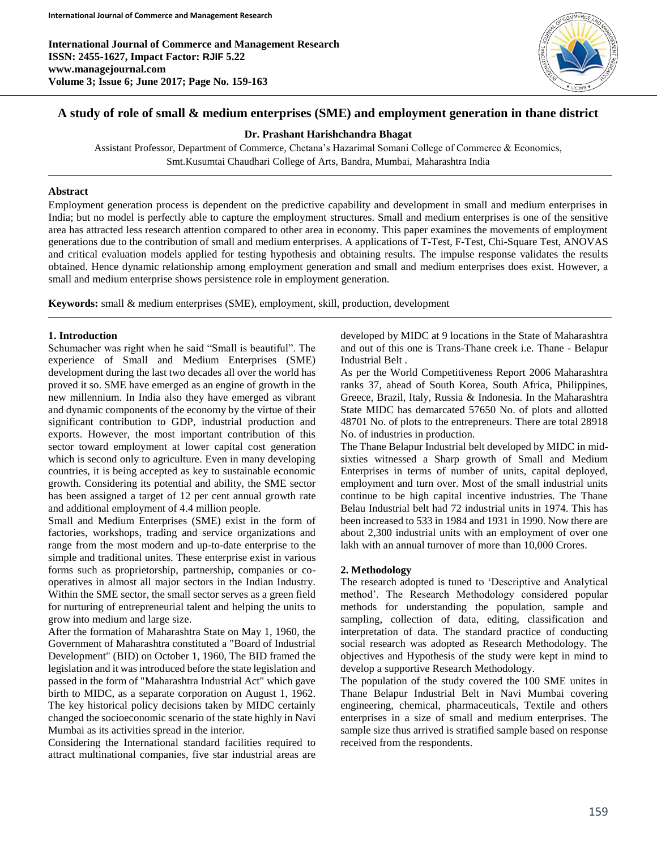**International Journal of Commerce and Management Research ISSN: 2455-1627, Impact Factor: RJIF 5.22 www.managejournal.com Volume 3; Issue 6; June 2017; Page No. 159-163**



# **A study of role of small & medium enterprises (SME) and employment generation in thane district**

**Dr. Prashant Harishchandra Bhagat**

Assistant Professor, Department of Commerce, Chetana's Hazarimal Somani College of Commerce & Economics, Smt.Kusumtai Chaudhari College of Arts, Bandra, Mumbai, Maharashtra India

#### **Abstract**

Employment generation process is dependent on the predictive capability and development in small and medium enterprises in India; but no model is perfectly able to capture the employment structures. Small and medium enterprises is one of the sensitive area has attracted less research attention compared to other area in economy. This paper examines the movements of employment generations due to the contribution of small and medium enterprises. A applications of T-Test, F-Test, Chi-Square Test, ANOVAS and critical evaluation models applied for testing hypothesis and obtaining results. The impulse response validates the results obtained. Hence dynamic relationship among employment generation and small and medium enterprises does exist. However, a small and medium enterprise shows persistence role in employment generation.

**Keywords:** small & medium enterprises (SME), employment, skill, production, development

## **1. Introduction**

Schumacher was right when he said "Small is beautiful". The experience of Small and Medium Enterprises (SME) development during the last two decades all over the world has proved it so. SME have emerged as an engine of growth in the new millennium. In India also they have emerged as vibrant and dynamic components of the economy by the virtue of their significant contribution to GDP, industrial production and exports. However, the most important contribution of this sector toward employment at lower capital cost generation which is second only to agriculture. Even in many developing countries, it is being accepted as key to sustainable economic growth. Considering its potential and ability, the SME sector has been assigned a target of 12 per cent annual growth rate and additional employment of 4.4 million people.

Small and Medium Enterprises (SME) exist in the form of factories, workshops, trading and service organizations and range from the most modern and up-to-date enterprise to the simple and traditional unites. These enterprise exist in various forms such as proprietorship, partnership, companies or cooperatives in almost all major sectors in the Indian Industry. Within the SME sector, the small sector serves as a green field for nurturing of entrepreneurial talent and helping the units to grow into medium and large size.

After the formation of Maharashtra State on May 1, 1960, the Government of Maharashtra constituted a "Board of Industrial Development" (BID) on October 1, 1960, The BID framed the legislation and it was introduced before the state legislation and passed in the form of "Maharashtra Industrial Act" which gave birth to MIDC, as a separate corporation on August 1, 1962. The key historical policy decisions taken by MIDC certainly changed the socioeconomic scenario of the state highly in Navi Mumbai as its activities spread in the interior.

Considering the International standard facilities required to attract multinational companies, five star industrial areas are developed by MIDC at 9 locations in the State of Maharashtra and out of this one is Trans-Thane creek i.e. Thane - Belapur Industrial Belt .

As per the World Competitiveness Report 2006 Maharashtra ranks 37, ahead of South Korea, South Africa, Philippines, Greece, Brazil, Italy, Russia & Indonesia. In the Maharashtra State MIDC has demarcated 57650 No. of plots and allotted 48701 No. of plots to the entrepreneurs. There are total 28918 No. of industries in production.

The Thane Belapur Industrial belt developed by MIDC in midsixties witnessed a Sharp growth of Small and Medium Enterprises in terms of number of units, capital deployed, employment and turn over. Most of the small industrial units continue to be high capital incentive industries. The Thane Belau Industrial belt had 72 industrial units in 1974. This has been increased to 533 in 1984 and 1931 in 1990. Now there are about 2,300 industrial units with an employment of over one lakh with an annual turnover of more than 10,000 Crores.

## **2. Methodology**

The research adopted is tuned to 'Descriptive and Analytical method'. The Research Methodology considered popular methods for understanding the population, sample and sampling, collection of data, editing, classification and interpretation of data. The standard practice of conducting social research was adopted as Research Methodology. The objectives and Hypothesis of the study were kept in mind to develop a supportive Research Methodology.

The population of the study covered the 100 SME unites in Thane Belapur Industrial Belt in Navi Mumbai covering engineering, chemical, pharmaceuticals, Textile and others enterprises in a size of small and medium enterprises. The sample size thus arrived is stratified sample based on response received from the respondents.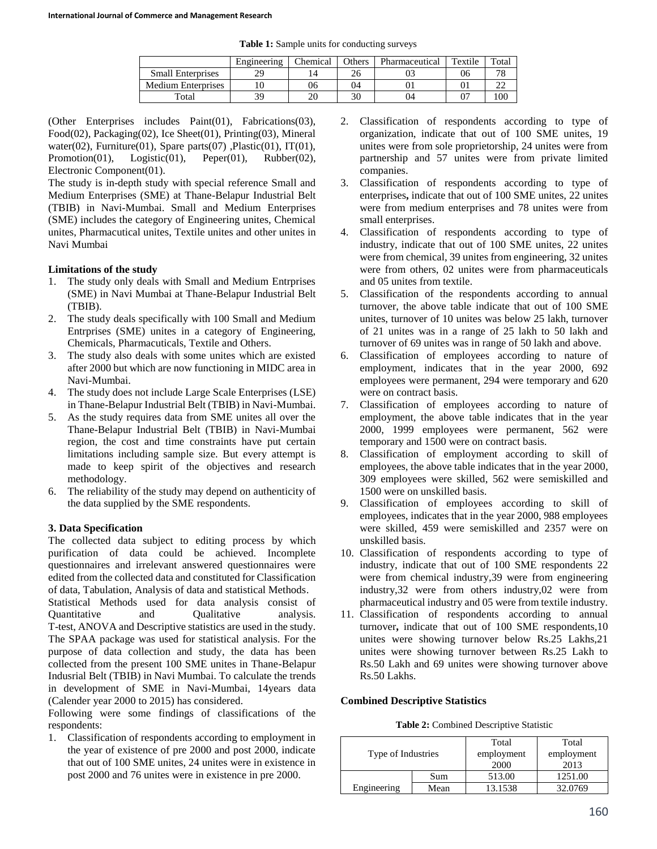**Table 1:** Sample units for conducting surveys

|                           | Engineering | Chemical | Others | Pharmaceutical | Textile | Total           |
|---------------------------|-------------|----------|--------|----------------|---------|-----------------|
| <b>Small Enterprises</b>  | 29          | 14       | 26     |                | 06      | $\neg$ $\Omega$ |
| <b>Medium Enterprises</b> |             | 06       | 04     |                |         |                 |
| Total                     | 39          | ንቦ       | 30     | 14             |         | 100             |

(Other Enterprises includes Paint(01), Fabrications(03), Food(02), Packaging(02), Ice Sheet(01), Printing(03), Mineral water(02), Furniture(01), Spare parts(07), Plastic(01), IT(01), Promotion(01), Logistic(01), Peper(01), Rubber(02), Electronic Component(01).

The study is in-depth study with special reference Small and Medium Enterprises (SME) at Thane-Belapur Industrial Belt (TBIB) in Navi-Mumbai. Small and Medium Enterprises (SME) includes the category of Engineering unites, Chemical unites, Pharmacutical unites, Textile unites and other unites in Navi Mumbai

#### **Limitations of the study**

- 1. The study only deals with Small and Medium Entrprises (SME) in Navi Mumbai at Thane-Belapur Industrial Belt (TBIB).
- 2. The study deals specifically with 100 Small and Medium Entrprises (SME) unites in a category of Engineering, Chemicals, Pharmacuticals, Textile and Others.
- 3. The study also deals with some unites which are existed after 2000 but which are now functioning in MIDC area in Navi-Mumbai.
- 4. The study does not include Large Scale Enterprises (LSE) in Thane-Belapur Industrial Belt (TBIB) in Navi-Mumbai.
- 5. As the study requires data from SME unites all over the Thane-Belapur Industrial Belt (TBIB) in Navi-Mumbai region, the cost and time constraints have put certain limitations including sample size. But every attempt is made to keep spirit of the objectives and research methodology.
- 6. The reliability of the study may depend on authenticity of the data supplied by the SME respondents.

## **3. Data Specification**

The collected data subject to editing process by which purification of data could be achieved. Incomplete questionnaires and irrelevant answered questionnaires were edited from the collected data and constituted for Classification of data, Tabulation, Analysis of data and statistical Methods. Statistical Methods used for data analysis consist of

Quantitative and Qualitative analysis. T-test, ANOVA and Descriptive statistics are used in the study. The SPAA package was used for statistical analysis. For the purpose of data collection and study, the data has been collected from the present 100 SME unites in Thane-Belapur Indusrial Belt (TBIB) in Navi Mumbai. To calculate the trends in development of SME in Navi-Mumbai, 14years data (Calender year 2000 to 2015) has considered.

Following were some findings of classifications of the respondents:

1. Classification of respondents according to employment in the year of existence of pre 2000 and post 2000, indicate that out of 100 SME unites, 24 unites were in existence in post 2000 and 76 unites were in existence in pre 2000.

- 2. Classification of respondents according to type of organization, indicate that out of 100 SME unites, 19 unites were from sole proprietorship, 24 unites were from partnership and 57 unites were from private limited companies.
- 3. Classification of respondents according to type of enterprises**,** indicate that out of 100 SME unites, 22 unites were from medium enterprises and 78 unites were from small enterprises.
- 4. Classification of respondents according to type of industry, indicate that out of 100 SME unites, 22 unites were from chemical, 39 unites from engineering, 32 unites were from others, 02 unites were from pharmaceuticals and 05 unites from textile.
- 5. Classification of the respondents according to annual turnover, the above table indicate that out of 100 SME unites, turnover of 10 unites was below 25 lakh, turnover of 21 unites was in a range of 25 lakh to 50 lakh and turnover of 69 unites was in range of 50 lakh and above.
- 6. Classification of employees according to nature of employment, indicates that in the year 2000, 692 employees were permanent, 294 were temporary and 620 were on contract basis.
- 7. Classification of employees according to nature of employment, the above table indicates that in the year 2000, 1999 employees were permanent, 562 were temporary and 1500 were on contract basis.
- 8. Classification of employment according to skill of employees, the above table indicates that in the year 2000, 309 employees were skilled, 562 were semiskilled and 1500 were on unskilled basis.
- 9. Classification of employees according to skill of employees, indicates that in the year 2000, 988 employees were skilled, 459 were semiskilled and 2357 were on unskilled basis.
- 10. Classification of respondents according to type of industry, indicate that out of 100 SME respondents 22 were from chemical industry,39 were from engineering industry,32 were from others industry,02 were from pharmaceutical industry and 05 were from textile industry.
- 11. Classification of respondents according to annual turnover**,** indicate that out of 100 SME respondents,10 unites were showing turnover below Rs.25 Lakhs,21 unites were showing turnover between Rs.25 Lakh to Rs.50 Lakh and 69 unites were showing turnover above Rs.50 Lakhs.

## **Combined Descriptive Statistics**

| <b>Table 2:</b> Combined Descriptive Statistic |  |
|------------------------------------------------|--|
|------------------------------------------------|--|

| Type of Industries |      | Total<br>employment<br>2000 | Total<br>employment<br>2013 |
|--------------------|------|-----------------------------|-----------------------------|
|                    | Sum  | 513.00                      | 1251.00                     |
| Engineering        | Mean | 13.1538                     | 32.0769                     |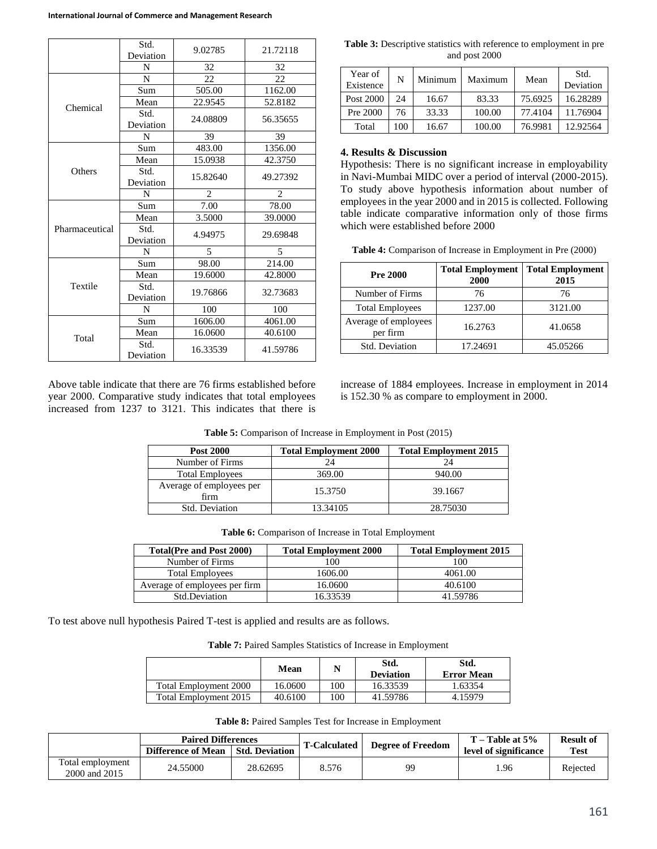|                | Std.<br>Deviation | 9.02785        | 21.72118       |
|----------------|-------------------|----------------|----------------|
|                | N                 | 32             | 32             |
|                | N                 | 22             | 22             |
|                | Sum               | 505.00         | 1162.00        |
| Chemical       | Mean              | 22.9545        | 52.8182        |
|                | Std.<br>Deviation | 24.08809       | 56.35655       |
|                | N                 | 39             | 39             |
|                | Sum               | 483.00         | 1356.00        |
|                | Mean              | 15.0938        | 42.3750        |
| Others         | Std.<br>Deviation | 15.82640       | 49.27392       |
|                | N                 | $\overline{2}$ | $\mathfrak{D}$ |
|                | Sum               | 7.00           | 78.00          |
|                | Mean              | 3.5000         | 39,0000        |
| Pharmaceutical | Std.<br>Deviation | 4.94975        | 29.69848       |
|                | N                 | 5              | 5              |
|                | Sum               | 98.00          | 214.00         |
|                | Mean              | 19.6000        | 42.8000        |
| Textile        | Std.<br>Deviation | 19.76866       | 32.73683       |
|                | N                 | 100            | 100            |
|                | Sum               | 1606.00        | 4061.00        |
| Total          | Mean              | 16.0600        | 40.6100        |
|                | Std.<br>Deviation | 16.33539       | 41.59786       |

**Table 3:** Descriptive statistics with reference to employment in pre and post 2000

| Year of<br>Existence | N   | Minimum | Maximum | Mean    | Std.<br>Deviation |
|----------------------|-----|---------|---------|---------|-------------------|
| Post 2000            | 24  | 16.67   | 83.33   | 75.6925 | 16.28289          |
| Pre 2000             | 76  | 33.33   | 100.00  | 77.4104 | 11.76904          |
| Total                | 100 | 16.67   | 100.00  | 76.9981 | 12.92564          |

**4. Results & Discussion**

Hypothesis: There is no significant increase in employability in Navi-Mumbai MIDC over a period of interval (2000-2015). To study above hypothesis information about number of employees in the year 2000 and in 2015 is collected. Following table indicate comparative information only of those firms which were established before 2000

**Table 4:** Comparison of Increase in Employment in Pre (2000)

| <b>Pre 2000</b>                  | <b>Total Employment</b><br>2000 | <b>Total Employment</b><br>2015 |
|----------------------------------|---------------------------------|---------------------------------|
| Number of Firms                  | 76                              | 76                              |
| <b>Total Employees</b>           | 1237.00                         | 3121.00                         |
| Average of employees<br>per firm | 16.2763                         | 41.0658                         |
| Std. Deviation                   | 17.24691                        | 45.05266                        |

Above table indicate that there are 76 firms established before year 2000. Comparative study indicates that total employees increased from 1237 to 3121. This indicates that there is increase of 1884 employees. Increase in employment in 2014 is 152.30 % as compare to employment in 2000.

| <b>Post 2000</b>                 | <b>Total Employment 2000</b> | <b>Total Employment 2015</b> |
|----------------------------------|------------------------------|------------------------------|
| Number of Firms                  | 24                           | 24                           |
| <b>Total Employees</b>           | 369.00                       | 940.00                       |
| Average of employees per<br>firm | 15.3750                      | 39.1667                      |
| Std. Deviation                   | 13.34105                     | 28.75030                     |

**Table 5:** Comparison of Increase in Employment in Post (2015)

|  |  |  |  | Table 6: Comparison of Increase in Total Employment |
|--|--|--|--|-----------------------------------------------------|
|--|--|--|--|-----------------------------------------------------|

| <b>Total</b> (Pre and Post 2000) | <b>Total Employment 2000</b> | <b>Total Employment 2015</b> |
|----------------------------------|------------------------------|------------------------------|
| Number of Firms                  | 100                          | 100                          |
| <b>Total Employees</b>           | 1606.00                      | 4061.00                      |
| Average of employees per firm    | 16.0600                      | 40.6100                      |
| Std.Deviation                    | 16.33539                     | 41.59786                     |

To test above null hypothesis Paired T-test is applied and results are as follows.

**Table 7:** Paired Samples Statistics of Increase in Employment

|                       | Mean    |     | Std.<br><b>Deviation</b> | Std.<br><b>Error Mean</b> |
|-----------------------|---------|-----|--------------------------|---------------------------|
| Total Employment 2000 | 16.0600 | .00 | 16.33539                 | 1.63354                   |
| Total Employment 2015 | 40.6100 | .00 | 41.59786                 | 4.15979                   |

**Table 8:** Paired Samples Test for Increase in Employment

| <b>Paired Differences</b>         |                    |                       |                                                 | $T - Table$ at $5\%$  | <b>Result of</b> |          |
|-----------------------------------|--------------------|-----------------------|-------------------------------------------------|-----------------------|------------------|----------|
|                                   | Difference of Mean | <b>Std. Deviation</b> | <b>Degree of Freedom</b><br><b>T-Calculated</b> | level of significance | Test             |          |
| Total employment<br>2000 and 2015 | 24.55000           | 28.62695              | 8.576                                           | 99                    | .96              | Rejected |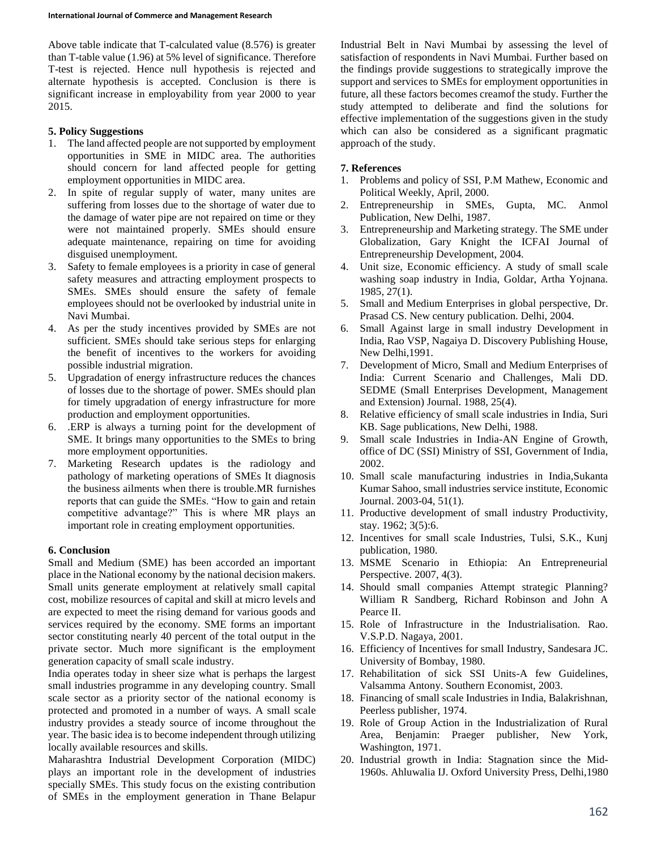Above table indicate that T-calculated value (8.576) is greater than T-table value (1.96) at 5% level of significance. Therefore T-test is rejected. Hence null hypothesis is rejected and alternate hypothesis is accepted. Conclusion is there is significant increase in employability from year 2000 to year 2015.

## **5. Policy Suggestions**

- 1. The land affected people are not supported by employment opportunities in SME in MIDC area. The authorities should concern for land affected people for getting employment opportunities in MIDC area.
- 2. In spite of regular supply of water, many unites are suffering from losses due to the shortage of water due to the damage of water pipe are not repaired on time or they were not maintained properly. SMEs should ensure adequate maintenance, repairing on time for avoiding disguised unemployment.
- 3. Safety to female employees is a priority in case of general safety measures and attracting employment prospects to SMEs. SMEs should ensure the safety of female employees should not be overlooked by industrial unite in Navi Mumbai.
- 4. As per the study incentives provided by SMEs are not sufficient. SMEs should take serious steps for enlarging the benefit of incentives to the workers for avoiding possible industrial migration.
- 5. Upgradation of energy infrastructure reduces the chances of losses due to the shortage of power. SMEs should plan for timely upgradation of energy infrastructure for more production and employment opportunities.
- 6. .ERP is always a turning point for the development of SME. It brings many opportunities to the SMEs to bring more employment opportunities.
- 7. Marketing Research updates is the radiology and pathology of marketing operations of SMEs It diagnosis the business ailments when there is trouble.MR furnishes reports that can guide the SMEs. "How to gain and retain competitive advantage?" This is where MR plays an important role in creating employment opportunities.

## **6. Conclusion**

Small and Medium (SME) has been accorded an important place in the National economy by the national decision makers. Small units generate employment at relatively small capital cost, mobilize resources of capital and skill at micro levels and are expected to meet the rising demand for various goods and services required by the economy. SME forms an important sector constituting nearly 40 percent of the total output in the private sector. Much more significant is the employment generation capacity of small scale industry.

India operates today in sheer size what is perhaps the largest small industries programme in any developing country. Small scale sector as a priority sector of the national economy is protected and promoted in a number of ways. A small scale industry provides a steady source of income throughout the year. The basic idea is to become independent through utilizing locally available resources and skills.

Maharashtra Industrial Development Corporation (MIDC) plays an important role in the development of industries specially SMEs. This study focus on the existing contribution of SMEs in the employment generation in Thane Belapur Industrial Belt in Navi Mumbai by assessing the level of satisfaction of respondents in Navi Mumbai. Further based on the findings provide suggestions to strategically improve the support and services to SMEs for employment opportunities in future, all these factors becomes creamof the study. Further the study attempted to deliberate and find the solutions for effective implementation of the suggestions given in the study which can also be considered as a significant pragmatic approach of the study.

## **7. References**

- 1. Problems and policy of SSI, P.M Mathew, Economic and Political Weekly, April, 2000.
- 2. Entrepreneurship in SMEs, Gupta, MC. Anmol Publication, New Delhi, 1987.
- 3. Entrepreneurship and Marketing strategy. The SME under Globalization, Gary Knight the ICFAI Journal of Entrepreneurship Development, 2004.
- 4. Unit size, Economic efficiency. A study of small scale washing soap industry in India, Goldar, Artha Yojnana. 1985, 27(1).
- 5. Small and Medium Enterprises in global perspective, Dr. Prasad CS. New century publication. Delhi, 2004.
- 6. Small Against large in small industry Development in India, Rao VSP, Nagaiya D. Discovery Publishing House, New Delhi,1991.
- 7. Development of Micro, Small and Medium Enterprises of India: Current Scenario and Challenges, Mali DD. SEDME (Small Enterprises Development, Management and Extension) Journal. 1988, 25(4).
- 8. Relative efficiency of small scale industries in India, Suri KB. Sage publications, New Delhi, 1988.
- 9. Small scale Industries in India-AN Engine of Growth, office of DC (SSI) Ministry of SSI, Government of India, 2002.
- 10. Small scale manufacturing industries in India,Sukanta Kumar Sahoo, small industries service institute, Economic Journal. 2003-04, 51(1).
- 11. Productive development of small industry Productivity, stay. 1962; 3(5):6.
- 12. Incentives for small scale Industries, Tulsi, S.K., Kunj publication, 1980.
- 13. MSME Scenario in Ethiopia: An Entrepreneurial Perspective. 2007, 4(3).
- 14. Should small companies Attempt strategic Planning? William R Sandberg, Richard Robinson and John A Pearce II.
- 15. Role of Infrastructure in the Industrialisation. Rao. V.S.P.D. Nagaya, 2001.
- 16. Efficiency of Incentives for small Industry, Sandesara JC. University of Bombay, 1980.
- 17. Rehabilitation of sick SSI Units-A few Guidelines, Valsamma Antony. Southern Economist, 2003.
- 18. Financing of small scale Industries in India, Balakrishnan, Peerless publisher, 1974.
- 19. Role of Group Action in the Industrialization of Rural Area, Benjamin: Praeger publisher, New York, Washington, 1971.
- 20. Industrial growth in India: Stagnation since the Mid-1960s. Ahluwalia IJ. Oxford University Press, Delhi,1980